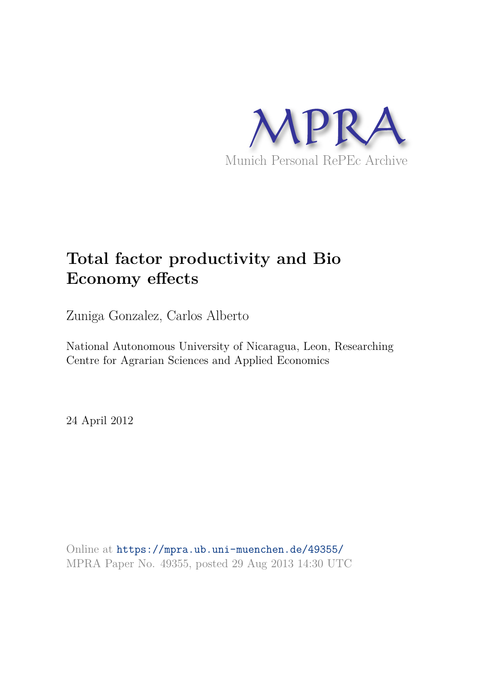

# **Total factor productivity and Bio Economy effects**

Zuniga Gonzalez, Carlos Alberto

National Autonomous University of Nicaragua, Leon, Researching Centre for Agrarian Sciences and Applied Economics

24 April 2012

Online at https://mpra.ub.uni-muenchen.de/49355/ MPRA Paper No. 49355, posted 29 Aug 2013 14:30 UTC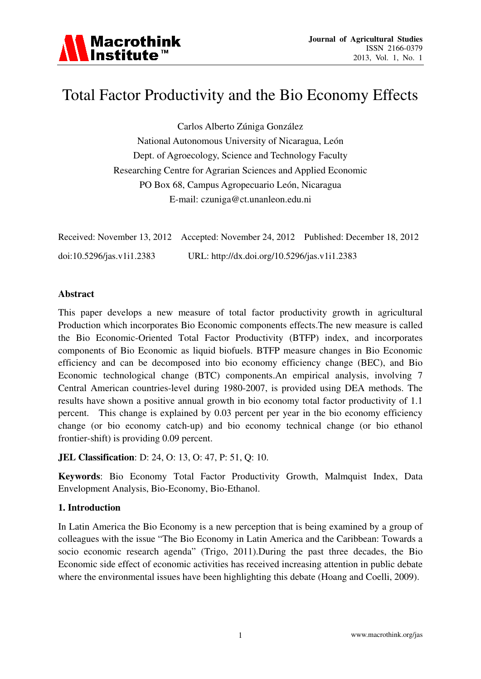

## Total Factor Productivity and the Bio Economy Effects

Carlos Alberto Zúniga González National Autonomous University of Nicaragua, León Dept. of Agroecology, Science and Technology Faculty Researching Centre for Agrarian Sciences and Applied Economic PO Box 68, Campus Agropecuario León, Nicaragua E-mail: czuniga@ct.unanleon.edu.ni

|                           | Received: November 13, 2012 Accepted: November 24, 2012 Published: December 18, 2012 |  |
|---------------------------|--------------------------------------------------------------------------------------|--|
| doi:10.5296/jas.v1i1.2383 | URL: http://dx.doi.org/10.5296/jas.v1i1.2383                                         |  |

#### **Abstract**

This paper develops a new measure of total factor productivity growth in agricultural Production which incorporates Bio Economic components effects.The new measure is called the Bio Economic-Oriented Total Factor Productivity (BTFP) index, and incorporates components of Bio Economic as liquid biofuels. BTFP measure changes in Bio Economic efficiency and can be decomposed into bio economy efficiency change (BEC), and Bio Economic technological change (BTC) components.An empirical analysis, involving 7 Central American countries-level during 1980-2007, is provided using DEA methods. The results have shown a positive annual growth in bio economy total factor productivity of 1.1 percent. This change is explained by 0.03 percent per year in the bio economy efficiency change (or bio economy catch-up) and bio economy technical change (or bio ethanol frontier-shift) is providing 0.09 percent.

#### **JEL Classification**: D: 24, O: 13, O: 47, P: 51, Q: 10.

**Keywords**: Bio Economy Total Factor Productivity Growth, Malmquist Index, Data Envelopment Analysis, Bio-Economy, Bio-Ethanol.

#### **1. Introduction**

In Latin America the Bio Economy is a new perception that is being examined by a group of colleagues with the issue "The Bio Economy in Latin America and the Caribbean: Towards a socio economic research agenda" (Trigo, 2011).During the past three decades, the Bio Economic side effect of economic activities has received increasing attention in public debate where the environmental issues have been highlighting this debate (Hoang and Coelli, 2009).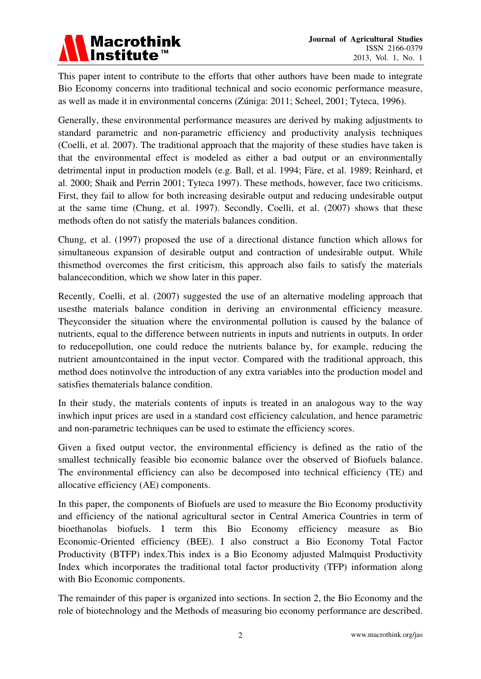

This paper intent to contribute to the efforts that other authors have been made to integrate Bio Economy concerns into traditional technical and socio economic performance measure, as well as made it in environmental concerns (Zúniga: 2011; Scheel, 2001; Tyteca, 1996).

Generally, these environmental performance measures are derived by making adjustments to standard parametric and non-parametric efficiency and productivity analysis techniques (Coelli, et al. 2007). The traditional approach that the majority of these studies have taken is that the environmental effect is modeled as either a bad output or an environmentally detrimental input in production models (e.g. Ball, et al. 1994; Färe, et al. 1989; Reinhard, et al. 2000; Shaik and Perrin 2001; Tyteca 1997). These methods, however, face two criticisms. First, they fail to allow for both increasing desirable output and reducing undesirable output at the same time (Chung, et al. 1997). Secondly, Coelli, et al. (2007) shows that these methods often do not satisfy the materials balances condition.

Chung, et al. (1997) proposed the use of a directional distance function which allows for simultaneous expansion of desirable output and contraction of undesirable output. While thismethod overcomes the first criticism, this approach also fails to satisfy the materials balancecondition, which we show later in this paper.

Recently, Coelli, et al. (2007) suggested the use of an alternative modeling approach that usesthe materials balance condition in deriving an environmental efficiency measure. Theyconsider the situation where the environmental pollution is caused by the balance of nutrients, equal to the difference between nutrients in inputs and nutrients in outputs. In order to reducepollution, one could reduce the nutrients balance by, for example, reducing the nutrient amountcontained in the input vector. Compared with the traditional approach, this method does notinvolve the introduction of any extra variables into the production model and satisfies thematerials balance condition.

In their study, the materials contents of inputs is treated in an analogous way to the way inwhich input prices are used in a standard cost efficiency calculation, and hence parametric and non-parametric techniques can be used to estimate the efficiency scores.

Given a fixed output vector, the environmental efficiency is defined as the ratio of the smallest technically feasible bio economic balance over the observed of Biofuels balance. The environmental efficiency can also be decomposed into technical efficiency (TE) and allocative efficiency (AE) components.

In this paper, the components of Biofuels are used to measure the Bio Economy productivity and efficiency of the national agricultural sector in Central America Countries in term of bioethanolas biofuels. I term this Bio Economy efficiency measure as Bio Economic-Oriented efficiency (BEE). I also construct a Bio Economy Total Factor Productivity (BTFP) index.This index is a Bio Economy adjusted Malmquist Productivity Index which incorporates the traditional total factor productivity (TFP) information along with Bio Economic components.

The remainder of this paper is organized into sections. In section 2, the Bio Economy and the role of biotechnology and the Methods of measuring bio economy performance are described.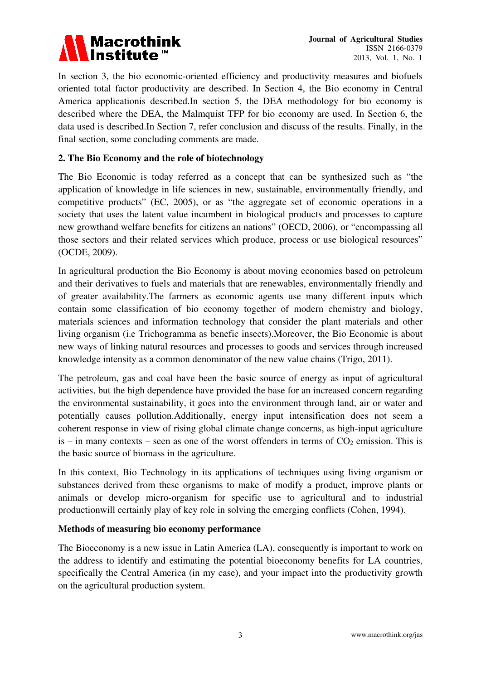

In section 3, the bio economic-oriented efficiency and productivity measures and biofuels oriented total factor productivity are described. In Section 4, the Bio economy in Central America applicationis described.In section 5, the DEA methodology for bio economy is described where the DEA, the Malmquist TFP for bio economy are used. In Section 6, the data used is described.In Section 7, refer conclusion and discuss of the results. Finally, in the final section, some concluding comments are made.

## **2. The Bio Economy and the role of biotechnology**

The Bio Economic is today referred as a concept that can be synthesized such as "the application of knowledge in life sciences in new, sustainable, environmentally friendly, and competitive products" (EC, 2005), or as "the aggregate set of economic operations in a society that uses the latent value incumbent in biological products and processes to capture new growthand welfare benefits for citizens an nations" (OECD, 2006), or "encompassing all those sectors and their related services which produce, process or use biological resources" (OCDE, 2009).

In agricultural production the Bio Economy is about moving economies based on petroleum and their derivatives to fuels and materials that are renewables, environmentally friendly and of greater availability.The farmers as economic agents use many different inputs which contain some classification of bio economy together of modern chemistry and biology, materials sciences and information technology that consider the plant materials and other living organism (i.e Trichogramma as benefic insects).Moreover, the Bio Economic is about new ways of linking natural resources and processes to goods and services through increased knowledge intensity as a common denominator of the new value chains (Trigo, 2011).

The petroleum, gas and coal have been the basic source of energy as input of agricultural activities, but the high dependence have provided the base for an increased concern regarding the environmental sustainability, it goes into the environment through land, air or water and potentially causes pollution.Additionally, energy input intensification does not seem a coherent response in view of rising global climate change concerns, as high-input agriculture is – in many contexts – seen as one of the worst offenders in terms of  $CO<sub>2</sub>$  emission. This is the basic source of biomass in the agriculture.

In this context, Bio Technology in its applications of techniques using living organism or substances derived from these organisms to make of modify a product, improve plants or animals or develop micro-organism for specific use to agricultural and to industrial productionwill certainly play of key role in solving the emerging conflicts (Cohen, 1994).

## **Methods of measuring bio economy performance**

The Bioeconomy is a new issue in Latin America (LA), consequently is important to work on the address to identify and estimating the potential bioeconomy benefits for LA countries, specifically the Central America (in my case), and your impact into the productivity growth on the agricultural production system.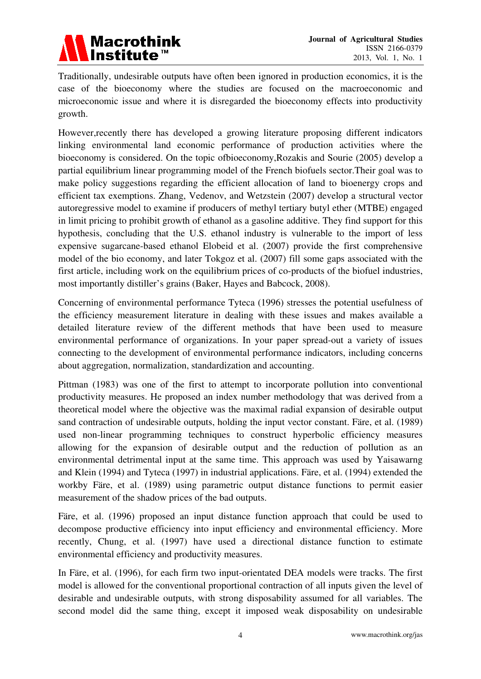

Traditionally, undesirable outputs have often been ignored in production economics, it is the case of the bioeconomy where the studies are focused on the macroeconomic and microeconomic issue and where it is disregarded the bioeconomy effects into productivity growth.

However,recently there has developed a growing literature proposing different indicators linking environmental land economic performance of production activities where the bioeconomy is considered. On the topic ofbioeconomy,Rozakis and Sourie (2005) develop a partial equilibrium linear programming model of the French biofuels sector.Their goal was to make policy suggestions regarding the efficient allocation of land to bioenergy crops and efficient tax exemptions. Zhang, Vedenov, and Wetzstein (2007) develop a structural vector autoregressive model to examine if producers of methyl tertiary butyl ether (MTBE) engaged in limit pricing to prohibit growth of ethanol as a gasoline additive. They find support for this hypothesis, concluding that the U.S. ethanol industry is vulnerable to the import of less expensive sugarcane-based ethanol Elobeid et al. (2007) provide the first comprehensive model of the bio economy, and later Tokgoz et al. (2007) fill some gaps associated with the first article, including work on the equilibrium prices of co-products of the biofuel industries, most importantly distiller's grains (Baker, Hayes and Babcock, 2008).

Concerning of environmental performance Tyteca (1996) stresses the potential usefulness of the efficiency measurement literature in dealing with these issues and makes available a detailed literature review of the different methods that have been used to measure environmental performance of organizations. In your paper spread-out a variety of issues connecting to the development of environmental performance indicators, including concerns about aggregation, normalization, standardization and accounting.

Pittman (1983) was one of the first to attempt to incorporate pollution into conventional productivity measures. He proposed an index number methodology that was derived from a theoretical model where the objective was the maximal radial expansion of desirable output sand contraction of undesirable outputs, holding the input vector constant. Färe, et al. (1989) used non-linear programming techniques to construct hyperbolic efficiency measures allowing for the expansion of desirable output and the reduction of pollution as an environmental detrimental input at the same time. This approach was used by Yaisawarng and Klein (1994) and Tyteca (1997) in industrial applications. Färe, et al. (1994) extended the workby Färe, et al. (1989) using parametric output distance functions to permit easier measurement of the shadow prices of the bad outputs.

Färe, et al. (1996) proposed an input distance function approach that could be used to decompose productive efficiency into input efficiency and environmental efficiency. More recently, Chung, et al. (1997) have used a directional distance function to estimate environmental efficiency and productivity measures.

In Färe, et al. (1996), for each firm two input-orientated DEA models were tracks. The first model is allowed for the conventional proportional contraction of all inputs given the level of desirable and undesirable outputs, with strong disposability assumed for all variables. The second model did the same thing, except it imposed weak disposability on undesirable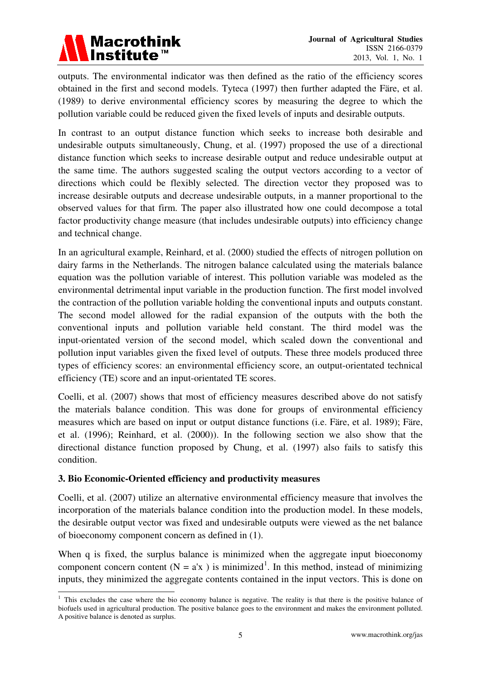

outputs. The environmental indicator was then defined as the ratio of the efficiency scores obtained in the first and second models. Tyteca (1997) then further adapted the Färe, et al. (1989) to derive environmental efficiency scores by measuring the degree to which the pollution variable could be reduced given the fixed levels of inputs and desirable outputs.

In contrast to an output distance function which seeks to increase both desirable and undesirable outputs simultaneously, Chung, et al. (1997) proposed the use of a directional distance function which seeks to increase desirable output and reduce undesirable output at the same time. The authors suggested scaling the output vectors according to a vector of directions which could be flexibly selected. The direction vector they proposed was to increase desirable outputs and decrease undesirable outputs, in a manner proportional to the observed values for that firm. The paper also illustrated how one could decompose a total factor productivity change measure (that includes undesirable outputs) into efficiency change and technical change.

In an agricultural example, Reinhard, et al. (2000) studied the effects of nitrogen pollution on dairy farms in the Netherlands. The nitrogen balance calculated using the materials balance equation was the pollution variable of interest. This pollution variable was modeled as the environmental detrimental input variable in the production function. The first model involved the contraction of the pollution variable holding the conventional inputs and outputs constant. The second model allowed for the radial expansion of the outputs with the both the conventional inputs and pollution variable held constant. The third model was the input-orientated version of the second model, which scaled down the conventional and pollution input variables given the fixed level of outputs. These three models produced three types of efficiency scores: an environmental efficiency score, an output-orientated technical efficiency (TE) score and an input-orientated TE scores.

Coelli, et al. (2007) shows that most of efficiency measures described above do not satisfy the materials balance condition. This was done for groups of environmental efficiency measures which are based on input or output distance functions (i.e. Färe, et al. 1989); Färe, et al. (1996); Reinhard, et al. (2000)). In the following section we also show that the directional distance function proposed by Chung, et al. (1997) also fails to satisfy this condition.

## **3. Bio Economic-Oriented efficiency and productivity measures**

Coelli, et al. (2007) utilize an alternative environmental efficiency measure that involves the incorporation of the materials balance condition into the production model. In these models, the desirable output vector was fixed and undesirable outputs were viewed as the net balance of bioeconomy component concern as defined in (1).

When q is fixed, the surplus balance is minimized when the aggregate input bioeconomy component concern content ( $N = a'x$ ) is minimized<sup>[1](#page-5-0)</sup>. In this method, instead of minimizing inputs, they minimized the aggregate contents contained in the input vectors. This is done on

<span id="page-5-0"></span><sup>-</sup> $1$  This excludes the case where the bio economy balance is negative. The reality is that there is the positive balance of biofuels used in agricultural production. The positive balance goes to the environment and makes the environment polluted. A positive balance is denoted as surplus.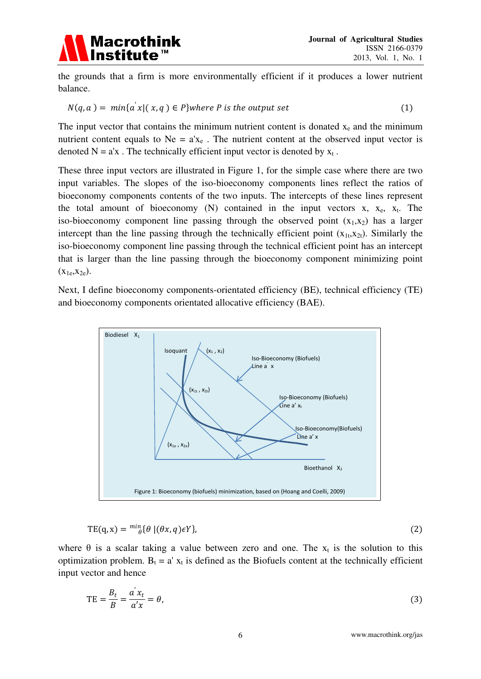

the grounds that a firm is more environmentally efficient if it produces a lower nutrient balance.

$$
N(q, a) = min\{a'x | (x, q) \in P\} where P is the output set
$$
\n(1)

The input vector that contains the minimum nutrient content is donated  $x_e$  and the minimum nutrient content equals to  $Ne = a'x_e$ . The nutrient content at the observed input vector is denoted  $N = a'x$ . The technically efficient input vector is denoted by  $x_t$ .

These three input vectors are illustrated in Figure 1, for the simple case where there are two input variables. The slopes of the iso-bioeconomy components lines reflect the ratios of bioeconomy components contents of the two inputs. The intercepts of these lines represent the total amount of bioeconomy  $(N)$  contained in the input vectors x,  $x_e$ ,  $x_t$ . The iso-bioeconomy component line passing through the observed point  $(x_1,x_2)$  has a larger intercept than the line passing through the technically efficient point  $(x_{1t},x_{2t})$ . Similarly the iso-bioeconomy component line passing through the technical efficient point has an intercept that is larger than the line passing through the bioeconomy component minimizing point  $(X_{1e}, X_{2e})$ .

Next, I define bioeconomy components-orientated efficiency (BE), technical efficiency (TE) and bioeconomy components orientated allocative efficiency (BAE).



$$
TE(q, x) = {^{mi}}_{\theta} {\theta} | (\theta x, q) \epsilon Y \}, \tag{2}
$$

where  $\theta$  is a scalar taking a value between zero and one. The  $x_t$  is the solution to this optimization problem.  $B_t = a' x_t$  is defined as the Biofuels content at the technically efficient input vector and hence

$$
TE = \frac{B_t}{B} = \frac{a'x_t}{a'x} = \theta,\tag{3}
$$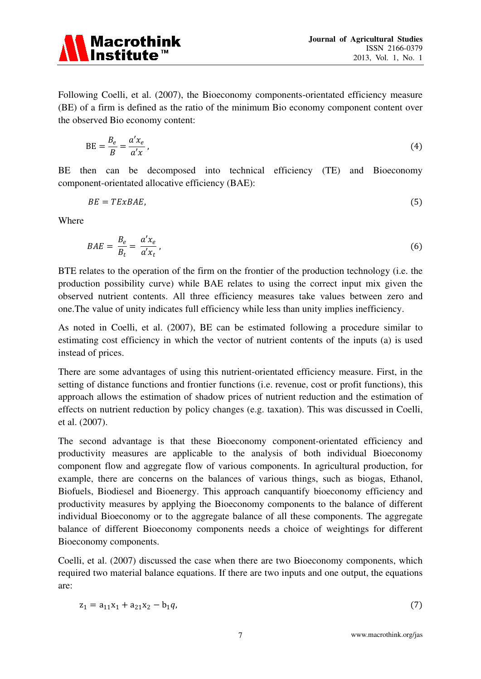

Following Coelli, et al. (2007), the Bioeconomy components-orientated efficiency measure (BE) of a firm is defined as the ratio of the minimum Bio economy component content over the observed Bio economy content:

$$
BE = \frac{B_e}{B} = \frac{a'x_e}{a'x},\tag{4}
$$

BE then can be decomposed into technical efficiency (TE) and Bioeconomy component-orientated allocative efficiency (BAE):

$$
BE = TExBAE, \tag{5}
$$

Where

$$
BAE = \frac{B_e}{B_t} = \frac{a'x_e}{a'x_t},\tag{6}
$$

BTE relates to the operation of the firm on the frontier of the production technology (i.e. the production possibility curve) while BAE relates to using the correct input mix given the observed nutrient contents. All three efficiency measures take values between zero and one.The value of unity indicates full efficiency while less than unity implies inefficiency.

As noted in Coelli, et al. (2007), BE can be estimated following a procedure similar to estimating cost efficiency in which the vector of nutrient contents of the inputs (a) is used instead of prices.

There are some advantages of using this nutrient-orientated efficiency measure. First, in the setting of distance functions and frontier functions (i.e. revenue, cost or profit functions), this approach allows the estimation of shadow prices of nutrient reduction and the estimation of effects on nutrient reduction by policy changes (e.g. taxation). This was discussed in Coelli, et al. (2007).

The second advantage is that these Bioeconomy component-orientated efficiency and productivity measures are applicable to the analysis of both individual Bioeconomy component flow and aggregate flow of various components. In agricultural production, for example, there are concerns on the balances of various things, such as biogas, Ethanol, Biofuels, Biodiesel and Bioenergy. This approach canquantify bioeconomy efficiency and productivity measures by applying the Bioeconomy components to the balance of different individual Bioeconomy or to the aggregate balance of all these components. The aggregate balance of different Bioeconomy components needs a choice of weightings for different Bioeconomy components.

Coelli, et al. (2007) discussed the case when there are two Bioeconomy components, which required two material balance equations. If there are two inputs and one output, the equations are:

$$
z_1 = a_{11}x_1 + a_{21}x_2 - b_1q,\tag{7}
$$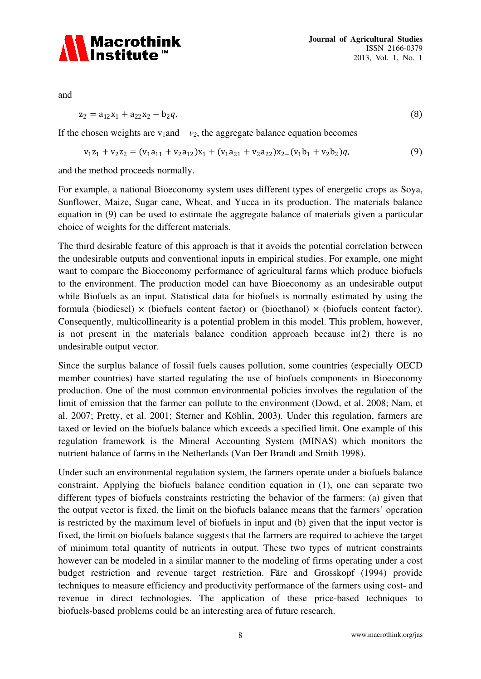

and

$$
z_2 = a_{12}x_1 + a_{22}x_2 - b_2q, \tag{8}
$$

If the chosen weights are  $v_1$  and  $v_2$ , the aggregate balance equation becomes

$$
v_1 z_1 + v_2 z_2 = (v_1 a_{11} + v_2 a_{12}) x_1 + (v_1 a_{21} + v_2 a_{22}) x_2 - (v_1 b_1 + v_2 b_2) q,\tag{9}
$$

and the method proceeds normally.

For example, a national Bioeconomy system uses different types of energetic crops as Soya, Sunflower, Maize, Sugar cane, Wheat, and Yucca in its production. The materials balance equation in (9) can be used to estimate the aggregate balance of materials given a particular choice of weights for the different materials.

The third desirable feature of this approach is that it avoids the potential correlation between the undesirable outputs and conventional inputs in empirical studies. For example, one might want to compare the Bioeconomy performance of agricultural farms which produce biofuels to the environment. The production model can have Bioeconomy as an undesirable output while Biofuels as an input. Statistical data for biofuels is normally estimated by using the formula (biodiesel)  $\times$  (biofuels content factor) or (bioethanol)  $\times$  (biofuels content factor). Consequently, multicollinearity is a potential problem in this model. This problem, however, is not present in the materials balance condition approach because in(2) there is no undesirable output vector.

Since the surplus balance of fossil fuels causes pollution, some countries (especially OECD member countries) have started regulating the use of biofuels components in Bioeconomy production. One of the most common environmental policies involves the regulation of the limit of emission that the farmer can pollute to the environment (Dowd, et al. 2008; Nam, et al. 2007; Pretty, et al. 2001; Sterner and Köhlin, 2003). Under this regulation, farmers are taxed or levied on the biofuels balance which exceeds a specified limit. One example of this regulation framework is the Mineral Accounting System (MINAS) which monitors the nutrient balance of farms in the Netherlands (Van Der Brandt and Smith 1998).

Under such an environmental regulation system, the farmers operate under a biofuels balance constraint. Applying the biofuels balance condition equation in (1), one can separate two different types of biofuels constraints restricting the behavior of the farmers: (a) given that the output vector is fixed, the limit on the biofuels balance means that the farmers' operation is restricted by the maximum level of biofuels in input and (b) given that the input vector is fixed, the limit on biofuels balance suggests that the farmers are required to achieve the target of minimum total quantity of nutrients in output. These two types of nutrient constraints however can be modeled in a similar manner to the modeling of firms operating under a cost budget restriction and revenue target restriction. Färe and Grosskopf (1994) provide techniques to measure efficiency and productivity performance of the farmers using cost- and revenue in direct technologies. The application of these price-based techniques to biofuels-based problems could be an interesting area of future research.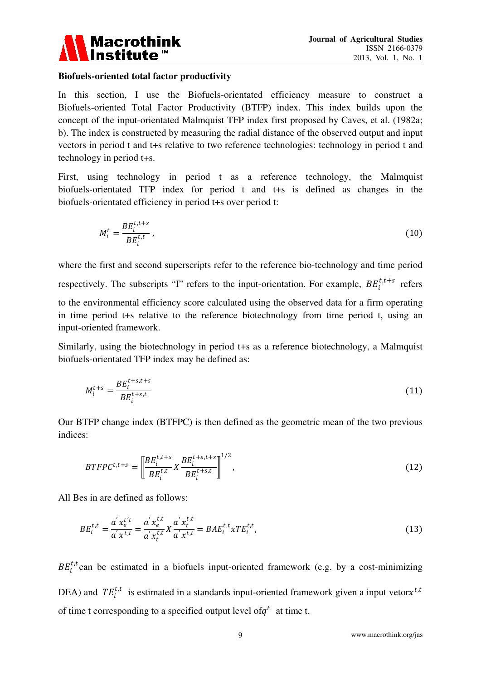

#### **Biofuels-oriented total factor productivity**

In this section, I use the Biofuels-orientated efficiency measure to construct a Biofuels-oriented Total Factor Productivity (BTFP) index. This index builds upon the concept of the input-orientated Malmquist TFP index first proposed by Caves, et al. (1982a; b). The index is constructed by measuring the radial distance of the observed output and input vectors in period t and t+s relative to two reference technologies: technology in period t and technology in period t+s.

First, using technology in period t as a reference technology, the Malmquist biofuels-orientated TFP index for period t and t+s is defined as changes in the biofuels-orientated efficiency in period t+s over period t:

$$
M_i^t = \frac{BE_i^{t,t+s}}{BE_i^{t,t}},\tag{10}
$$

where the first and second superscripts refer to the reference bio-technology and time period respectively. The subscripts "I" refers to the input-orientation. For example,  $BE_i^{t,t+s}$  refers to the environmental efficiency score calculated using the observed data for a firm operating in time period t+s relative to the reference biotechnology from time period t, using an input-oriented framework.

Similarly, using the biotechnology in period t+s as a reference biotechnology, a Malmquist biofuels-orientated TFP index may be defined as:

$$
M_i^{t+s} = \frac{BE_i^{t+s,t+s}}{BE_i^{t+s,t}}
$$
 (11)

Our BTFP change index (BTFPC) is then defined as the geometric mean of the two previous indices:

$$
BTFPC^{t,t+s} = \left[ \frac{BE_i^{t,t+s}}{BE_i^{t,t}} X \frac{BE_i^{t+s,t+s}}{BE_i^{t+s,t}} \right]^{1/2},
$$
\n(12)

All Bes in are defined as follows:

$$
BE_i^{t,t} = \frac{a' x_e^{t't}}{a' x_{t,t}^{t,t}} = \frac{a' x_e^{t,t}}{a' x_t^{t,t}} X \frac{a' x_t^{t,t}}{a' x_{t,t}} = BA E_i^{t,t} x T E_i^{t,t},
$$
\n(13)

 $BE_i^{t,t}$  can be estimated in a biofuels input-oriented framework (e.g. by a cost-minimizing DEA) and  $TE_i^{t,t}$  is estimated in a standards input-oriented framework given a input vetor $x^{t,t}$ of time t corresponding to a specified output level of  $q<sup>t</sup>$  at time t.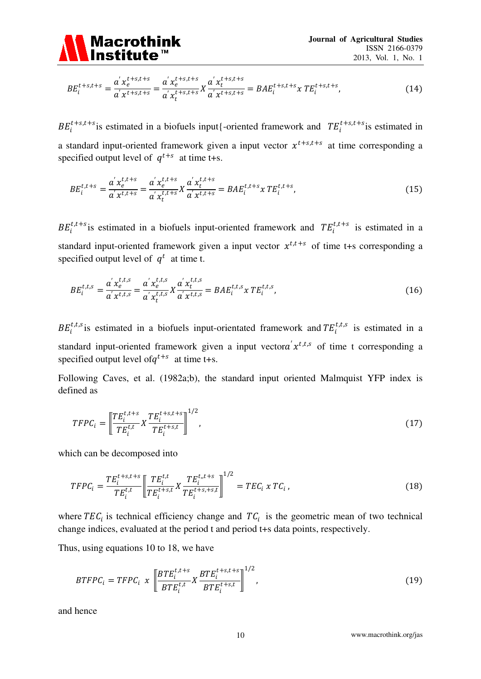

$$
BE_i^{t+s,t+s} = \frac{a' x_e^{t+s,t+s}}{a' x^{t+s,t+s}} = \frac{a' x_e^{t+s,t+s}}{a' x_t^{t+s,t+s}} X \frac{a' x_t^{t+s,t+s}}{a' x^{t+s,t+s}} = BA E_i^{t+s,t+s} X TE_i^{t+s,t+s}, \tag{14}
$$

 $BE_i^{t+s,t+s}$  is estimated in a biofuels input{-oriented framework and  $TE_i^{t+s,t+s}$  is estimated in a standard input-oriented framework given a input vector  $x^{t+s,t+s}$  at time corresponding a specified output level of  $q^{t+s}$  at time t+s.

$$
BE_i^{t,t+s} = \frac{a' x_e^{t,t+s}}{a' x_t^{t,t+s}} = \frac{a' x_e^{t,t+s}}{a' x_t^{t,t+s}} X \frac{a' x_t^{t,t+s}}{a' x^{t,t+s}} = BA E_i^{t,t+s} x TE_i^{t,t+s},
$$
(15)

 $BE_i^{t,t+s}$  is estimated in a biofuels input-oriented framework and  $TE_i^{t,t+s}$  is estimated in a standard input-oriented framework given a input vector  $x^{t,t+s}$  of time t+s corresponding a specified output level of  $q^t$  at time t.

$$
BE_i^{t,t,s} = \frac{a' x_e^{t,t,s}}{a' x_t^{t,t,s}} = \frac{a' x_e^{t,t,s}}{a' x_t^{t,t,s}} X \frac{a' x_t^{t,t,s}}{a' x^{t,t,s}} = BA E_i^{t,t,s} x TE_i^{t,t,s},
$$
(16)

 $BE_i^{t,t,s}$  is estimated in a biofuels input-orientated framework and  $TE_i^{t,t,s}$  is estimated in a standard input-oriented framework given a input vector  $x^{t,t,s}$  of time t corresponding a specified output level of  $q^{t+s}$  at time t+s.

Following Caves, et al. (1982a;b), the standard input oriented Malmquist YFP index is defined as

$$
TFPC_i = \left[ \frac{TE_i^{t,t+s}}{TE_i^{t,t}} X \frac{TE_i^{t+s,t+s}}{TE_i^{t+s,t}} \right]^{1/2},\tag{17}
$$

which can be decomposed into

$$
TFPC_i = \frac{TE_i^{t+s,t+s}}{TE_i^{t,t}} \left[ \frac{TE_i^{t,t}}{TE_i^{t+s,t}} X \frac{TE_i^{t,t+s}}{TE_i^{t+s,t+s,t}} \right]^{1/2} = TEC_i \times TC_i , \qquad (18)
$$

where  $TEC_i$  is technical efficiency change and  $TC_i$  is the geometric mean of two technical change indices, evaluated at the period t and period t+s data points, respectively.

Thus, using equations 10 to 18, we have

$$
BTFPC_i = TFPC_i \times \left[ \frac{BTE_i^{t,t+s}}{BTE_i^{t,t}} X \frac{BTE_i^{t+s,t+s}}{BTE_i^{t+s,t}} \right]^{1/2}, \tag{19}
$$

and hence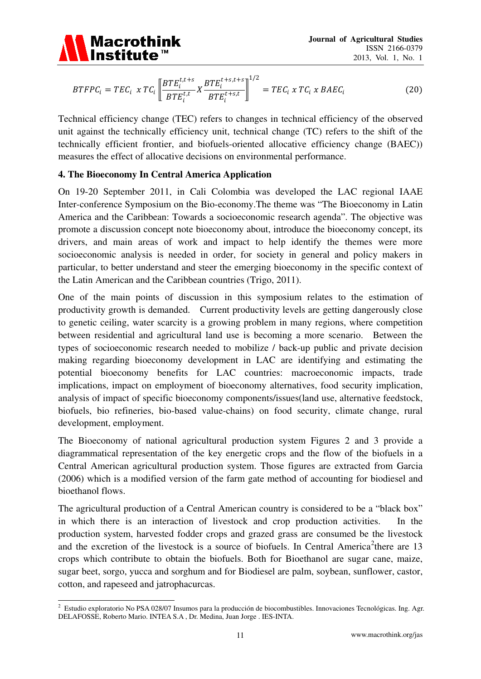

$$
BTFPC_i = TEC_i \times TC_i \left[ \frac{BTE_i^{t,t+s}}{BTE_i^{t,t}} X \frac{BTE_i^{t+s,t+s}}{BTE_i^{t+s,t}} \right]^{1/2} = TEC_i \times TC_i \times BAEC_i
$$
 (20)

Technical efficiency change (TEC) refers to changes in technical efficiency of the observed unit against the technically efficiency unit, technical change (TC) refers to the shift of the technically efficient frontier, and biofuels-oriented allocative efficiency change (BAEC)) measures the effect of allocative decisions on environmental performance.

## **4. The Bioeconomy In Central America Application**

On 19-20 September 2011, in Cali Colombia was developed the LAC regional IAAE Inter-conference Symposium on the Bio-economy.The theme was "The Bioeconomy in Latin America and the Caribbean: Towards a socioeconomic research agenda". The objective was promote a discussion concept note bioeconomy about, introduce the bioeconomy concept, its drivers, and main areas of work and impact to help identify the themes were more socioeconomic analysis is needed in order, for society in general and policy makers in particular, to better understand and steer the emerging bioeconomy in the specific context of the Latin American and the Caribbean countries (Trigo, 2011).

One of the main points of discussion in this symposium relates to the estimation of productivity growth is demanded. Current productivity levels are getting dangerously close to genetic ceiling, water scarcity is a growing problem in many regions, where competition between residential and agricultural land use is becoming a more scenario. Between the types of socioeconomic research needed to mobilize / back-up public and private decision making regarding bioeconomy development in LAC are identifying and estimating the potential bioeconomy benefits for LAC countries: macroeconomic impacts, trade implications, impact on employment of bioeconomy alternatives, food security implication, analysis of impact of specific bioeconomy components/issues(land use, alternative feedstock, biofuels, bio refineries, bio-based value-chains) on food security, climate change, rural development, employment.

The Bioeconomy of national agricultural production system Figures 2 and 3 provide a diagrammatical representation of the key energetic crops and the flow of the biofuels in a Central American agricultural production system. Those figures are extracted from Garcia (2006) which is a modified version of the farm gate method of accounting for biodiesel and bioethanol flows.

The agricultural production of a Central American country is considered to be a "black box" in which there is an interaction of livestock and crop production activities. In the production system, harvested fodder crops and grazed grass are consumed be the livestock and the excretion of the livestock is a source of biofuels. In Central America<sup>[2](#page-11-0)</sup> there are 13 crops which contribute to obtain the biofuels. Both for Bioethanol are sugar cane, maize, sugar beet, sorgo, yucca and sorghum and for Biodiesel are palm, soybean, sunflower, castor, cotton, and rapeseed and jatrophacurcas.

<span id="page-11-0"></span><sup>-</sup> $2$  Estudio exploratorio No PSA 028/07 Insumos para la producción de biocombustibles. Innovaciones Tecnológicas. Ing. Agr. DELAFOSSE, Roberto Mario. INTEA S.A , Dr. Medina, Juan Jorge . IES-INTA.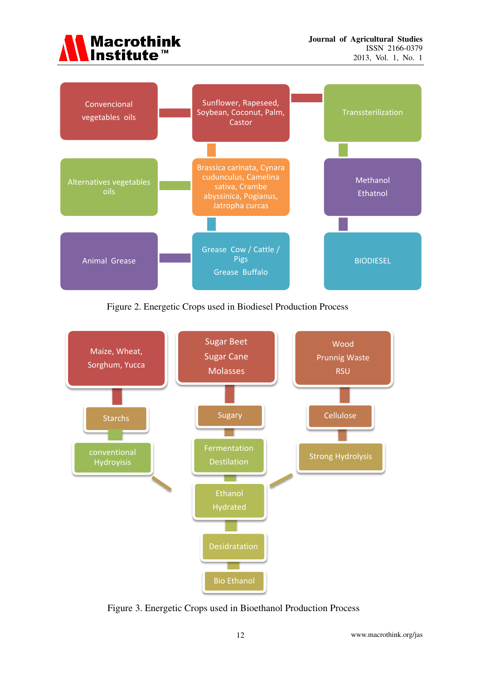



Figure 2. Energetic Crops used in Biodiesel Production Process



Figure 3. Energetic Crops used in Bioethanol Production Process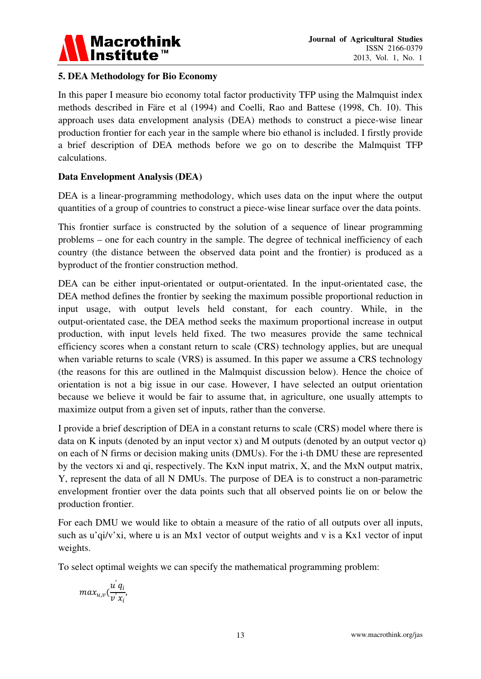

## **5. DEA Methodology for Bio Economy**

In this paper I measure bio economy total factor productivity TFP using the Malmquist index methods described in Färe et al (1994) and Coelli, Rao and Battese (1998, Ch. 10). This approach uses data envelopment analysis (DEA) methods to construct a piece-wise linear production frontier for each year in the sample where bio ethanol is included. I firstly provide a brief description of DEA methods before we go on to describe the Malmquist TFP calculations.

## **Data Envelopment Analysis (DEA)**

DEA is a linear-programming methodology, which uses data on the input where the output quantities of a group of countries to construct a piece-wise linear surface over the data points.

This frontier surface is constructed by the solution of a sequence of linear programming problems – one for each country in the sample. The degree of technical inefficiency of each country (the distance between the observed data point and the frontier) is produced as a byproduct of the frontier construction method.

DEA can be either input-orientated or output-orientated. In the input-orientated case, the DEA method defines the frontier by seeking the maximum possible proportional reduction in input usage, with output levels held constant, for each country. While, in the output-orientated case, the DEA method seeks the maximum proportional increase in output production, with input levels held fixed. The two measures provide the same technical efficiency scores when a constant return to scale (CRS) technology applies, but are unequal when variable returns to scale (VRS) is assumed. In this paper we assume a CRS technology (the reasons for this are outlined in the Malmquist discussion below). Hence the choice of orientation is not a big issue in our case. However, I have selected an output orientation because we believe it would be fair to assume that, in agriculture, one usually attempts to maximize output from a given set of inputs, rather than the converse.

I provide a brief description of DEA in a constant returns to scale (CRS) model where there is data on K inputs (denoted by an input vector x) and M outputs (denoted by an output vector q) on each of N firms or decision making units (DMUs). For the i-th DMU these are represented by the vectors xi and qi, respectively. The KxN input matrix, X, and the MxN output matrix, Y, represent the data of all N DMUs. The purpose of DEA is to construct a non-parametric envelopment frontier over the data points such that all observed points lie on or below the production frontier.

For each DMU we would like to obtain a measure of the ratio of all outputs over all inputs, such as u'qi/v'xi, where u is an Mx1 vector of output weights and v is a Kx1 vector of input weights.

To select optimal weights we can specify the mathematical programming problem:

$$
max_{u,v}(\frac{u^{'}q_{i}}{v^{'}x_{i}},
$$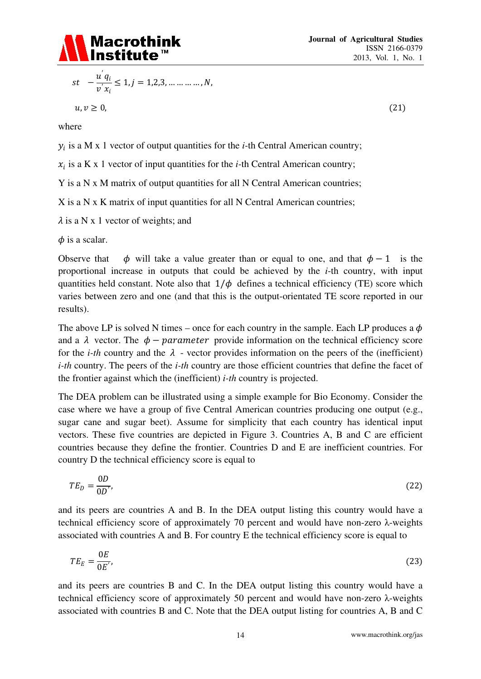

$$
st \quad -\frac{u^{'}q_i}{v^{'}x_i} \le 1, j = 1, 2, 3, \dots \dots \dots \dots, N,
$$

 $u, v \ge 0,$  (21)

where

 $y_i$  is a M x 1 vector of output quantities for the *i*-th Central American country;

 $x_i$  is a K x 1 vector of input quantities for the *i*-th Central American country;

Y is a N x M matrix of output quantities for all N Central American countries;

X is a N x K matrix of input quantities for all N Central American countries;

 $\lambda$  is a N x 1 vector of weights; and

 $\phi$  is a scalar.

Observe that  $\phi$  will take a value greater than or equal to one, and that  $\phi - 1$  is the proportional increase in outputs that could be achieved by the *i*-th country, with input quantities held constant. Note also that  $1/\phi$  defines a technical efficiency (TE) score which varies between zero and one (and that this is the output-orientated TE score reported in our results).

The above LP is solved N times – once for each country in the sample. Each LP produces a  $\phi$ and a  $\lambda$  vector. The  $\phi$  – parameter provide information on the technical efficiency score for the *i-th* country and the  $\lambda$  - vector provides information on the peers of the (inefficient) *i-th* country. The peers of the *i-th* country are those efficient countries that define the facet of the frontier against which the (inefficient) *i-th* country is projected.

The DEA problem can be illustrated using a simple example for Bio Economy. Consider the case where we have a group of five Central American countries producing one output (e.g., sugar cane and sugar beet). Assume for simplicity that each country has identical input vectors. These five countries are depicted in Figure 3. Countries A, B and C are efficient countries because they define the frontier. Countries D and E are inefficient countries. For country D the technical efficiency score is equal to

$$
TE_D = \frac{0D}{0D'},\tag{22}
$$

and its peers are countries A and B. In the DEA output listing this country would have a technical efficiency score of approximately 70 percent and would have non-zero λ-weights associated with countries A and B. For country E the technical efficiency score is equal to

$$
TE_E = \frac{0E}{0E'},\tag{23}
$$

and its peers are countries B and C. In the DEA output listing this country would have a technical efficiency score of approximately 50 percent and would have non-zero λ-weights associated with countries B and C. Note that the DEA output listing for countries A, B and C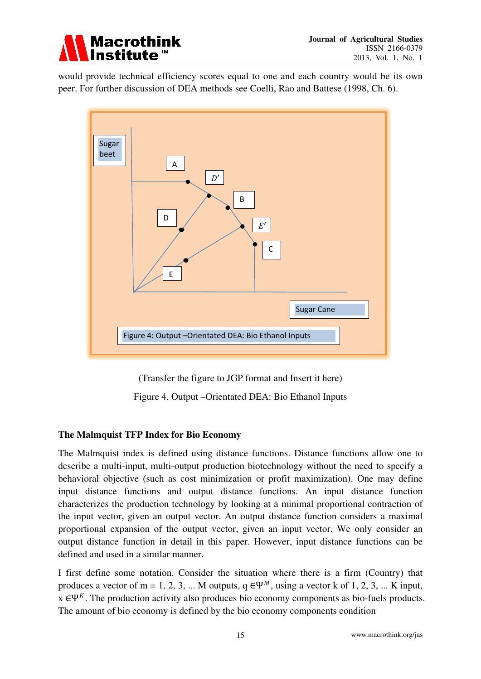

would provide technical efficiency scores equal to one and each country would be its own peer. For further discussion of DEA methods see Coelli, Rao and Battese (1998, Ch. 6).



(Transfer the figure to JGP format and Insert it here)

Figure 4. Output –Orientated DEA: Bio Ethanol Inputs

## **The Malmquist TFP Index for Bio Economy**

The Malmquist index is defined using distance functions. Distance functions allow one to describe a multi-input, multi-output production biotechnology without the need to specify a behavioral objective (such as cost minimization or profit maximization). One may define input distance functions and output distance functions. An input distance function characterizes the production technology by looking at a minimal proportional contraction of the input vector, given an output vector. An output distance function considers a maximal proportional expansion of the output vector, given an input vector. We only consider an output distance function in detail in this paper. However, input distance functions can be defined and used in a similar manner.

I first define some notation. Consider the situation where there is a firm (Country) that produces a vector of m = 1, 2, 3, ... M outputs,  $q \in \Psi^M$ , using a vector k of 1, 2, 3, ... K input,  $x \in \Psi^K$ . The production activity also produces bio economy components as bio-fuels products. The amount of bio economy is defined by the bio economy components condition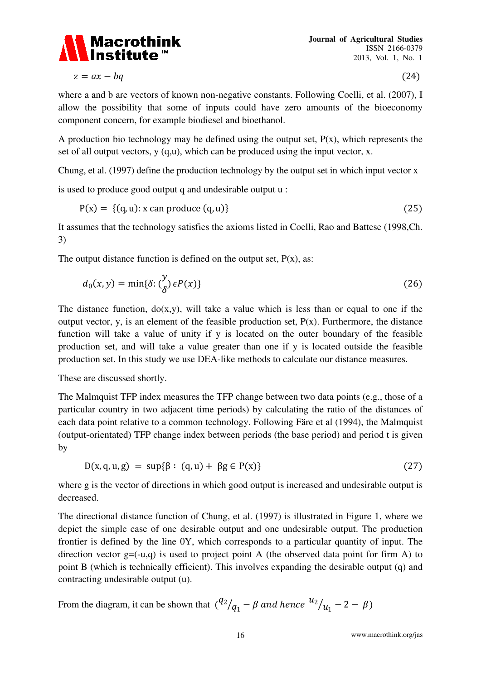

 $z = ax - bq$  (24)

where a and b are vectors of known non-negative constants. Following Coelli, et al. (2007), I allow the possibility that some of inputs could have zero amounts of the bioeconomy component concern, for example biodiesel and bioethanol.

A production bio technology may be defined using the output set,  $P(x)$ , which represents the set of all output vectors, y (q,u), which can be produced using the input vector, x.

Chung, et al. (1997) define the production technology by the output set in which input vector x

is used to produce good output q and undesirable output u :

$$
P(x) = \{(q, u): x \text{ can produce } (q, u)\}\tag{25}
$$

It assumes that the technology satisfies the axioms listed in Coelli, Rao and Battese (1998,Ch. 3)

The output distance function is defined on the output set,  $P(x)$ , as:

$$
d_0(x, y) = \min\{\delta : (\frac{y}{\delta}) \epsilon P(x)\}\tag{26}
$$

The distance function,  $do(x, y)$ , will take a value which is less than or equal to one if the output vector, y, is an element of the feasible production set,  $P(x)$ . Furthermore, the distance function will take a value of unity if y is located on the outer boundary of the feasible production set, and will take a value greater than one if y is located outside the feasible production set. In this study we use DEA-like methods to calculate our distance measures.

These are discussed shortly.

The Malmquist TFP index measures the TFP change between two data points (e.g., those of a particular country in two adjacent time periods) by calculating the ratio of the distances of each data point relative to a common technology. Following Färe et al (1994), the Malmquist (output-orientated) TFP change index between periods (the base period) and period t is given by

$$
D(x, q, u, g) = \sup \{ \beta : (q, u) + \beta g \in P(x) \}
$$
 (27)

where g is the vector of directions in which good output is increased and undesirable output is decreased.

The directional distance function of Chung, et al. (1997) is illustrated in Figure 1, where we depict the simple case of one desirable output and one undesirable output. The production frontier is defined by the line 0Y, which corresponds to a particular quantity of input. The direction vector  $g = (-u, q)$  is used to project point A (the observed data point for firm A) to point B (which is technically efficient). This involves expanding the desirable output (q) and contracting undesirable output (u).

From the diagram, it can be shown that  $\binom{q_2}{q_1}$  $\sqrt{q_1 - \beta}$  and hence  $\frac{u_2}{u_1} - 2 - \beta$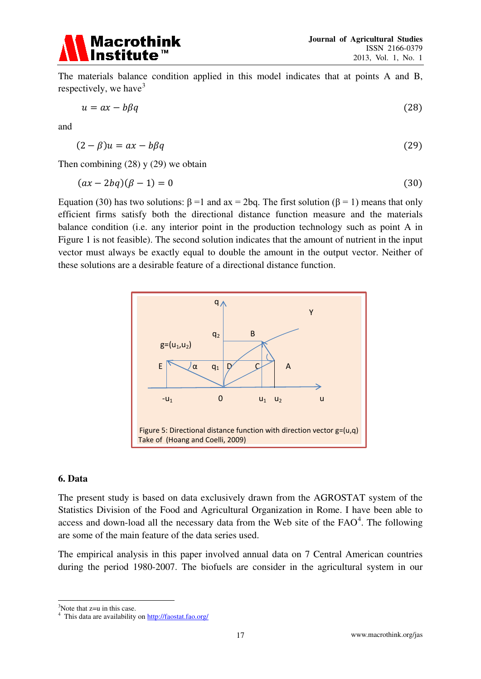

The materials balance condition applied in this model indicates that at points A and B, respectively, we have  $3$ 

$$
u = ax - b\beta q \tag{28}
$$

and

$$
(2 - \beta)u = ax - b\beta q \tag{29}
$$

Then combining  $(28)$  y  $(29)$  we obtain

$$
(ax - 2bq)(\beta - 1) = 0 \tag{30}
$$

Equation (30) has two solutions:  $β = 1$  and  $ax = 2bq$ . The first solution ( $β = 1$ ) means that only efficient firms satisfy both the directional distance function measure and the materials balance condition (i.e. any interior point in the production technology such as point A in Figure 1 is not feasible). The second solution indicates that the amount of nutrient in the input vector must always be exactly equal to double the amount in the output vector. Neither of these solutions are a desirable feature of a directional distance function.



#### **6. Data**

-

The present study is based on data exclusively drawn from the AGROSTAT system of the Statistics Division of the Food and Agricultural Organization in Rome. I have been able to access and down-load all the necessary data from the Web site of the  $FAO<sup>4</sup>$  $FAO<sup>4</sup>$  $FAO<sup>4</sup>$ . The following are some of the main feature of the data series used.

The empirical analysis in this paper involved annual data on 7 Central American countries during the period 1980-2007. The biofuels are consider in the agricultural system in our

<span id="page-17-0"></span><sup>3</sup>Note that z=u in this case.

<span id="page-17-1"></span><sup>4</sup> This data are availability on http://faostat.fao.org/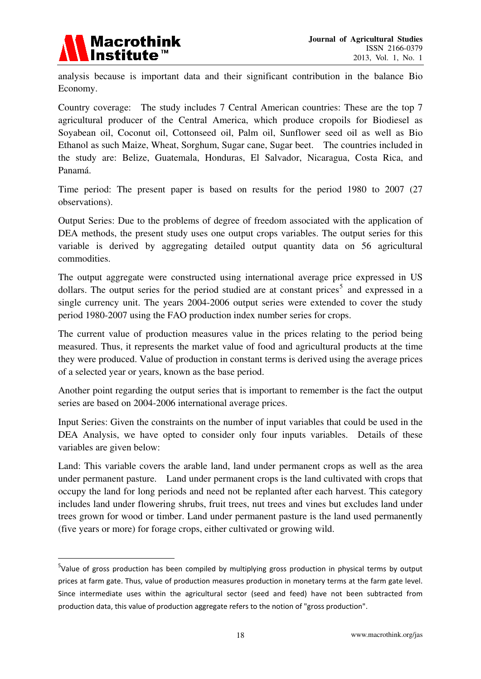

-

analysis because is important data and their significant contribution in the balance Bio Economy.

Country coverage: The study includes 7 Central American countries: These are the top 7 agricultural producer of the Central America, which produce cropoils for Biodiesel as Soyabean oil, Coconut oil, Cottonseed oil, Palm oil, Sunflower seed oil as well as Bio Ethanol as such Maize, Wheat, Sorghum, Sugar cane, Sugar beet. The countries included in the study are: Belize, Guatemala, Honduras, El Salvador, Nicaragua, Costa Rica, and Panamá.

Time period: The present paper is based on results for the period 1980 to 2007 (27 observations).

Output Series: Due to the problems of degree of freedom associated with the application of DEA methods, the present study uses one output crops variables. The output series for this variable is derived by aggregating detailed output quantity data on 56 agricultural commodities.

The output aggregate were constructed using international average price expressed in US dollars. The output series for the period studied are at constant prices<sup>[5](#page-18-0)</sup> and expressed in a single currency unit. The years 2004-2006 output series were extended to cover the study period 1980-2007 using the FAO production index number series for crops.

The current value of production measures value in the prices relating to the period being measured. Thus, it represents the market value of food and agricultural products at the time they were produced. Value of production in constant terms is derived using the average prices of a selected year or years, known as the base period.

Another point regarding the output series that is important to remember is the fact the output series are based on 2004-2006 international average prices.

Input Series: Given the constraints on the number of input variables that could be used in the DEA Analysis, we have opted to consider only four inputs variables. Details of these variables are given below:

Land: This variable covers the arable land, land under permanent crops as well as the area under permanent pasture. Land under permanent crops is the land cultivated with crops that occupy the land for long periods and need not be replanted after each harvest. This category includes land under flowering shrubs, fruit trees, nut trees and vines but excludes land under trees grown for wood or timber. Land under permanent pasture is the land used permanently (five years or more) for forage crops, either cultivated or growing wild.

<span id="page-18-0"></span><sup>&</sup>lt;sup>5</sup>Value of gross production has been compiled by multiplying gross production in physical terms by output prices at farm gate. Thus, value of production measures production in monetary terms at the farm gate level. Since intermediate uses within the agricultural sector (seed and feed) have not been subtracted from production data, this value of production aggregate refers to the notion of "gross production".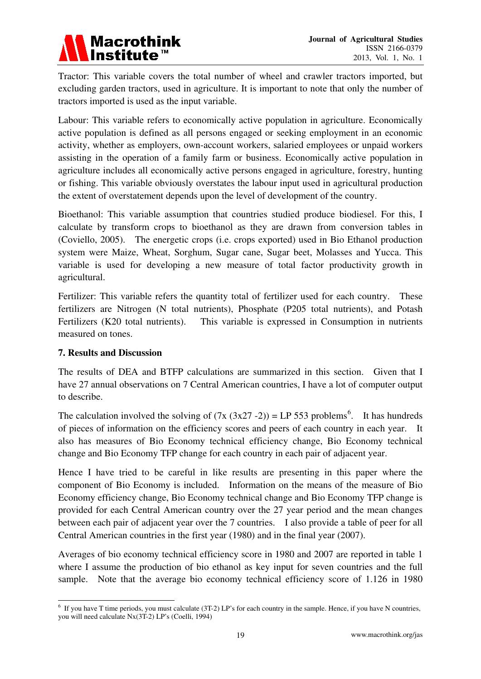

Tractor: This variable covers the total number of wheel and crawler tractors imported, but excluding garden tractors, used in agriculture. It is important to note that only the number of tractors imported is used as the input variable.

Labour: This variable refers to economically active population in agriculture. Economically active population is defined as all persons engaged or seeking employment in an economic activity, whether as employers, own-account workers, salaried employees or unpaid workers assisting in the operation of a family farm or business. Economically active population in agriculture includes all economically active persons engaged in agriculture, forestry, hunting or fishing. This variable obviously overstates the labour input used in agricultural production the extent of overstatement depends upon the level of development of the country.

Bioethanol: This variable assumption that countries studied produce biodiesel. For this, I calculate by transform crops to bioethanol as they are drawn from conversion tables in (Coviello, 2005). The energetic crops (i.e. crops exported) used in Bio Ethanol production system were Maize, Wheat, Sorghum, Sugar cane, Sugar beet, Molasses and Yucca. This variable is used for developing a new measure of total factor productivity growth in agricultural.

Fertilizer: This variable refers the quantity total of fertilizer used for each country. These fertilizers are Nitrogen (N total nutrients), Phosphate (P205 total nutrients), and Potash Fertilizers (K20 total nutrients). This variable is expressed in Consumption in nutrients measured on tones.

## **7. Results and Discussion**

The results of DEA and BTFP calculations are summarized in this section. Given that I have 27 annual observations on 7 Central American countries, I have a lot of computer output to describe.

The calculation involved the solving of  $(7x (3x27 - 2)) = LP 553$  problems<sup>[6](#page-19-0)</sup>. It has hundreds of pieces of information on the efficiency scores and peers of each country in each year. It also has measures of Bio Economy technical efficiency change, Bio Economy technical change and Bio Economy TFP change for each country in each pair of adjacent year.

Hence I have tried to be careful in like results are presenting in this paper where the component of Bio Economy is included. Information on the means of the measure of Bio Economy efficiency change, Bio Economy technical change and Bio Economy TFP change is provided for each Central American country over the 27 year period and the mean changes between each pair of adjacent year over the 7 countries. I also provide a table of peer for all Central American countries in the first year (1980) and in the final year (2007).

Averages of bio economy technical efficiency score in 1980 and 2007 are reported in table 1 where I assume the production of bio ethanol as key input for seven countries and the full sample. Note that the average bio economy technical efficiency score of 1.126 in 1980

<span id="page-19-0"></span> 6 If you have T time periods, you must calculate (3T-2) LP's for each country in the sample. Hence, if you have N countries, you will need calculate Nx(3T-2) LP's (Coelli, 1994)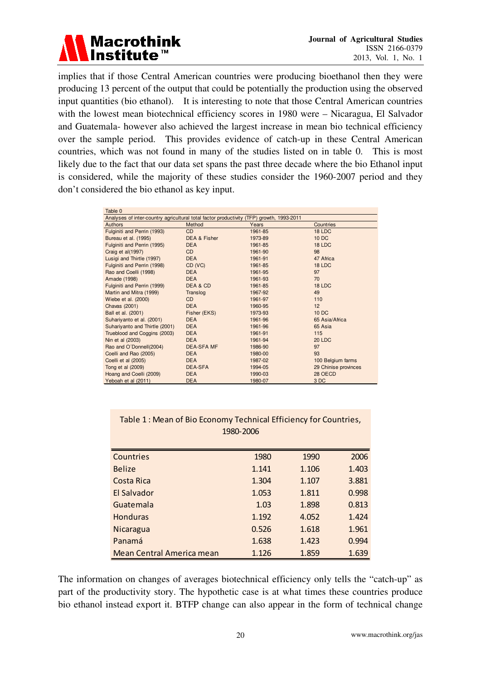

implies that if those Central American countries were producing bioethanol then they were producing 13 percent of the output that could be potentially the production using the observed input quantities (bio ethanol). It is interesting to note that those Central American countries with the lowest mean biotechnical efficiency scores in 1980 were – Nicaragua, El Salvador and Guatemala- however also achieved the largest increase in mean bio technical efficiency over the sample period. This provides evidence of catch-up in these Central American countries, which was not found in many of the studies listed on in table 0. This is most likely due to the fact that our data set spans the past three decade where the bio Ethanol input is considered, while the majority of these studies consider the 1960-2007 period and they don't considered the bio ethanol as key input.

| Table 0                                                                                     |                   |         |                      |  |  |
|---------------------------------------------------------------------------------------------|-------------------|---------|----------------------|--|--|
| Analyses of inter-country agricultural total factor productivity<br>(TFP) growth, 1993-2011 |                   |         |                      |  |  |
| Authors                                                                                     | Method            | Years   | Countries            |  |  |
| Fulginiti and Perrin (1993)                                                                 | <b>CD</b>         | 1961-85 | 18 LDC               |  |  |
| Bureau et al. (1995)                                                                        | DEA & Fisher      | 1973-89 | 10 DC                |  |  |
| Fulginiti and Perrin (1995)                                                                 | <b>DEA</b>        | 1961-85 | 18 LDC               |  |  |
| Craig et al(1997)                                                                           | <b>CD</b>         | 1961-90 | 98                   |  |  |
| Lusigi and Thirtle (1997)                                                                   | <b>DEA</b>        | 1961-91 | 47 Africa            |  |  |
| Fulginiti and Perrin (1998)                                                                 | CD (VC)           | 1961-85 | 18 LDC               |  |  |
| Rao and Coelli (1998)                                                                       | <b>DEA</b>        | 1961-95 | 97                   |  |  |
| Amade (1998)                                                                                | <b>DEA</b>        | 1961-93 | 70                   |  |  |
| Fulginiti and Perrin (1999)                                                                 | DEA & CD          | 1961-85 | 18 LDC               |  |  |
| Martin and Mitra (1999)                                                                     | Translog          | 1967-92 | 49                   |  |  |
| Wiebe et al. (2000)                                                                         | <b>CD</b>         | 1961-97 | 110                  |  |  |
| Chavas (2001)                                                                               | <b>DEA</b>        | 1960-95 | 12                   |  |  |
| Ball et al. (2001)                                                                          | Fisher (EKS)      | 1973-93 | 10 DC                |  |  |
| Suhariyanto et al. (2001)                                                                   | <b>DEA</b>        | 1961-96 | 65 Asia/Africa       |  |  |
| Suhariyanto and Thirtle (2001)                                                              | <b>DEA</b>        | 1961-96 | 65 Asia              |  |  |
| Trueblood and Coggins (2003)                                                                | <b>DEA</b>        | 1961-91 | 115                  |  |  |
| Nin et al (2003)                                                                            | <b>DEA</b>        | 1961-94 | <b>20 LDC</b>        |  |  |
| Rao and O'Donnell(2004)                                                                     | <b>DEA-SFA MF</b> | 1986-90 | 97                   |  |  |
| Coelli and Rao (2005)                                                                       | <b>DEA</b>        | 1980-00 | 93                   |  |  |
| Coelli et al (2005)                                                                         | <b>DEA</b>        | 1987-02 | 100 Belgium farms    |  |  |
| Tong et al (2009)                                                                           | <b>DEA-SFA</b>    | 1994-05 | 29 Chinise provinces |  |  |
| Hoang and Coelli (2009)                                                                     | <b>DEA</b>        | 1990-03 | 28 OECD              |  |  |
| Yeboah et al (2011)                                                                         | <b>DEA</b>        | 1980-07 | 3DC                  |  |  |

## Table 1 : Mean of Bio Economy Technical Efficiency for Countries, 1980-2006

| Countries                 | 1980  | 1990  | 2006  |
|---------------------------|-------|-------|-------|
| <b>Belize</b>             | 1.141 | 1.106 | 1.403 |
| Costa Rica                | 1.304 | 1.107 | 3.881 |
| El Salvador               | 1.053 | 1.811 | 0.998 |
| Guatemala                 | 1.03  | 1.898 | 0.813 |
| <b>Honduras</b>           | 1.192 | 4.052 | 1.424 |
| Nicaragua                 | 0.526 | 1.618 | 1.961 |
| Panamá                    | 1.638 | 1.423 | 0.994 |
| Mean Central America mean | 1.126 | 1.859 | 1.639 |

The information on changes of averages biotechnical efficiency only tells the "catch-up" as part of the productivity story. The hypothetic case is at what times these countries produce bio ethanol instead export it. BTFP change can also appear in the form of technical change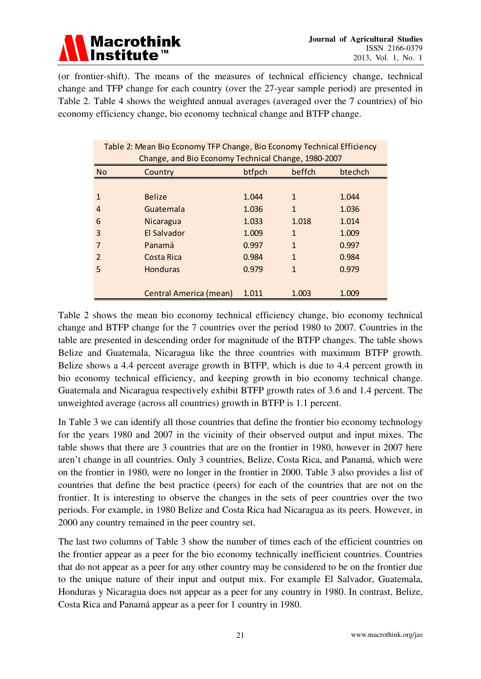

(or frontier-shift). The means of the measures of technical efficiency change, technical change and TFP change for each country (over the 27-year sample period) are presented in Table 2. Table 4 shows the weighted annual averages (averaged over the 7 countries) of bio economy efficiency change, bio economy technical change and BTFP change.

| Table 2: Mean Bio Economy TFP Change, Bio Economy Technical Efficiency |                                               |       |              |       |  |  |  |
|------------------------------------------------------------------------|-----------------------------------------------|-------|--------------|-------|--|--|--|
| Change, and Bio Economy Technical Change, 1980-2007                    |                                               |       |              |       |  |  |  |
| No.                                                                    | btfpch<br>beffch<br><b>btechch</b><br>Country |       |              |       |  |  |  |
|                                                                        |                                               |       |              |       |  |  |  |
| 1                                                                      | <b>Belize</b>                                 | 1.044 | $\mathbf{1}$ | 1.044 |  |  |  |
| 4                                                                      | Guatemala                                     | 1.036 | $\mathbf{1}$ | 1.036 |  |  |  |
| 6                                                                      | Nicaragua                                     | 1.033 | 1.018        | 1.014 |  |  |  |
| 3                                                                      | El Salvador                                   | 1.009 | $\mathbf{1}$ | 1.009 |  |  |  |
|                                                                        | Panamá                                        | 0.997 | $\mathbf{1}$ | 0.997 |  |  |  |
| $\mathcal{P}$                                                          | Costa Rica                                    | 0.984 | $\mathbf{1}$ | 0.984 |  |  |  |
| 5                                                                      | <b>Honduras</b>                               | 0.979 | $\mathbf{1}$ | 0.979 |  |  |  |
|                                                                        |                                               |       |              |       |  |  |  |
|                                                                        | <b>Central America (mean)</b>                 | 1.011 | 1.003        | 1.009 |  |  |  |

Table 2 shows the mean bio economy technical efficiency change, bio economy technical change and BTFP change for the 7 countries over the period 1980 to 2007. Countries in the table are presented in descending order for magnitude of the BTFP changes. The table shows Belize and Guatemala, Nicaragua like the three countries with maximum BTFP growth. Belize shows a 4.4 percent average growth in BTFP, which is due to 4.4 percent growth in bio economy technical efficiency, and keeping growth in bio economy technical change. Guatemala and Nicaragua respectively exhibit BTFP growth rates of 3.6 and 1.4 percent. The unweighted average (across all countries) growth in BTFP is 1.1 percent.

In Table 3 we can identify all those countries that define the frontier bio economy technology for the years 1980 and 2007 in the vicinity of their observed output and input mixes. The table shows that there are 3 countries that are on the frontier in 1980, however in 2007 here aren't change in all countries. Only 3 countries, Belize, Costa Rica, and Panamá, which were on the frontier in 1980, were no longer in the frontier in 2000. Table 3 also provides a list of countries that define the best practice (peers) for each of the countries that are not on the frontier. It is interesting to observe the changes in the sets of peer countries over the two periods. For example, in 1980 Belize and Costa Rica had Nicaragua as its peers. However, in 2000 any country remained in the peer country set.

The last two columns of Table 3 show the number of times each of the efficient countries on the frontier appear as a peer for the bio economy technically inefficient countries. Countries that do not appear as a peer for any other country may be considered to be on the frontier due to the unique nature of their input and output mix. For example El Salvador, Guatemala, Honduras y Nicaragua does not appear as a peer for any country in 1980. In contrast, Belize, Costa Rica and Panamá appear as a peer for 1 country in 1980.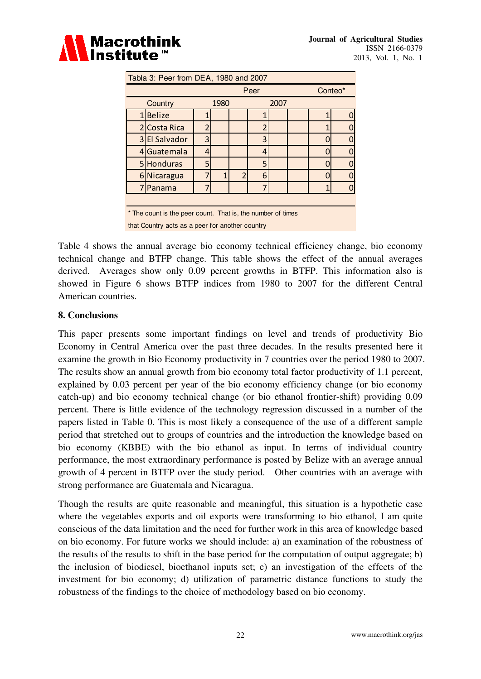

| Tabla 3: Peer from DEA, 1980 and 2007                       |               |   |                |                         |         |      |  |  |
|-------------------------------------------------------------|---------------|---|----------------|-------------------------|---------|------|--|--|
| Peer                                                        |               |   |                |                         | Conteo* |      |  |  |
|                                                             | Country       |   | 1980           |                         |         | 2007 |  |  |
| $1\vert$                                                    | <b>Belize</b> |   |                |                         |         |      |  |  |
|                                                             | 2 Costa Rica  | ŋ |                |                         |         |      |  |  |
|                                                             | 3 El Salvador | 3 |                |                         | 3       |      |  |  |
|                                                             | 4 Guatemala   | 4 |                |                         | 4       |      |  |  |
|                                                             | 5 Honduras    | 5 |                |                         | 5       |      |  |  |
| 61                                                          | Nicaragua     | 7 | $\overline{1}$ | $\overline{\mathbf{c}}$ | 6       |      |  |  |
|                                                             | 7 Panama      | 7 |                |                         |         |      |  |  |
|                                                             |               |   |                |                         |         |      |  |  |
| * The count is the peer count. That is, the number of times |               |   |                |                         |         |      |  |  |

that Country acts as a peer for another country

Table 4 shows the annual average bio economy technical efficiency change, bio economy technical change and BTFP change. This table shows the effect of the annual averages derived. Averages show only 0.09 percent growths in BTFP. This information also is showed in Figure 6 shows BTFP indices from 1980 to 2007 for the different Central American countries.

#### **8. Conclusions**

This paper presents some important findings on level and trends of productivity Bio Economy in Central America over the past three decades. In the results presented here it examine the growth in Bio Economy productivity in 7 countries over the period 1980 to 2007. The results show an annual growth from bio economy total factor productivity of 1.1 percent, explained by 0.03 percent per year of the bio economy efficiency change (or bio economy catch-up) and bio economy technical change (or bio ethanol frontier-shift) providing 0.09 percent. There is little evidence of the technology regression discussed in a number of the papers listed in Table 0. This is most likely a consequence of the use of a different sample period that stretched out to groups of countries and the introduction the knowledge based on bio economy (KBBE) with the bio ethanol as input. In terms of individual country performance, the most extraordinary performance is posted by Belize with an average annual growth of 4 percent in BTFP over the study period. Other countries with an average with strong performance are Guatemala and Nicaragua.

Though the results are quite reasonable and meaningful, this situation is a hypothetic case where the vegetables exports and oil exports were transforming to bio ethanol, I am quite conscious of the data limitation and the need for further work in this area of knowledge based on bio economy. For future works we should include: a) an examination of the robustness of the results of the results to shift in the base period for the computation of output aggregate; b) the inclusion of biodiesel, bioethanol inputs set; c) an investigation of the effects of the investment for bio economy; d) utilization of parametric distance functions to study the robustness of the findings to the choice of methodology based on bio economy.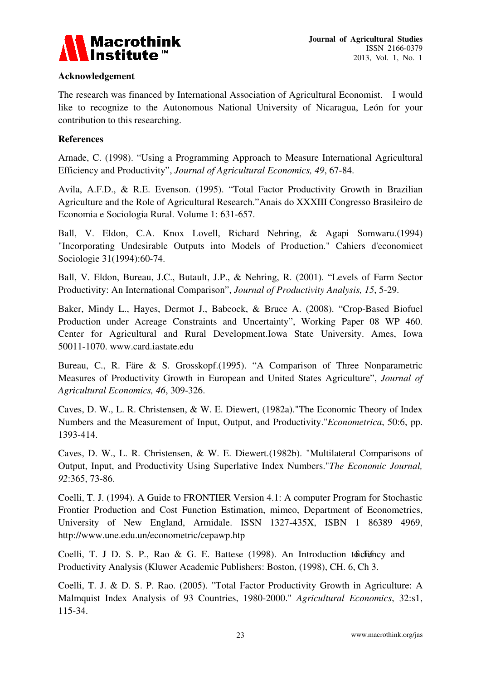

## **Acknowledgement**

The research was financed by International Association of Agricultural Economist. I would like to recognize to the Autonomous National University of Nicaragua, León for your contribution to this researching.

#### **References**

Arnade, C. (1998). "Using a Programming Approach to Measure International Agricultural Efficiency and Productivity", *Journal of Agricultural Economics, 49*, 67-84.

Avila, A.F.D., & R.E. Evenson. (1995). "Total Factor Productivity Growth in Brazilian Agriculture and the Role of Agricultural Research."Anais do XXXIII Congresso Brasileiro de Economia e Sociologia Rural. Volume 1: 631-657.

Ball, V. Eldon, C.A. Knox Lovell, Richard Nehring, & Agapi Somwaru.(1994) "Incorporating Undesirable Outputs into Models of Production." Cahiers d'economieet Sociologie 31(1994):60-74.

Ball, V. Eldon, Bureau, J.C., Butault, J.P., & Nehring, R. (2001). "Levels of Farm Sector Productivity: An International Comparison", *Journal of Productivity Analysis, 15*, 5-29.

Baker, Mindy L., Hayes, Dermot J., Babcock, & Bruce A. (2008). "Crop-Based Biofuel Production under Acreage Constraints and Uncertainty", Working Paper 08 WP 460. Center for Agricultural and Rural Development.Iowa State University. Ames, Iowa 50011-1070. www.card.iastate.edu

Bureau, C., R. Färe & S. Grosskopf.(1995). "A Comparison of Three Nonparametric Measures of Productivity Growth in European and United States Agriculture", *Journal of Agricultural Economics, 46*, 309-326.

Caves, D. W., L. R. Christensen, & W. E. Diewert, (1982a)."The Economic Theory of Index Numbers and the Measurement of Input, Output, and Productivity."*Econometrica*, 50:6, pp. 1393-414.

Caves, D. W., L. R. Christensen, & W. E. Diewert.(1982b). "Multilateral Comparisons of Output, Input, and Productivity Using Superlative Index Numbers."*The Economic Journal, 92*:365, 73-86.

Coelli, T. J. (1994). A Guide to FRONTIER Version 4.1: A computer Program for Stochastic Frontier Production and Cost Function Estimation, mimeo, Department of Econometrics, University of New England, Armidale. ISSN 1327-435X, ISBN 1 86389 4969, http://www.une.edu.un/econometric/cepawp.htp

Coelli, T. J D. S. P., Rao & G. E. Battese  $(1998)$ . An Introduction to Geoffricy and Productivity Analysis (Kluwer Academic Publishers: Boston, (1998), CH. 6, Ch 3.

Coelli, T. J. & D. S. P. Rao. (2005). "Total Factor Productivity Growth in Agriculture: A Malmquist Index Analysis of 93 Countries, 1980-2000." *Agricultural Economics*, 32:s1, 115-34.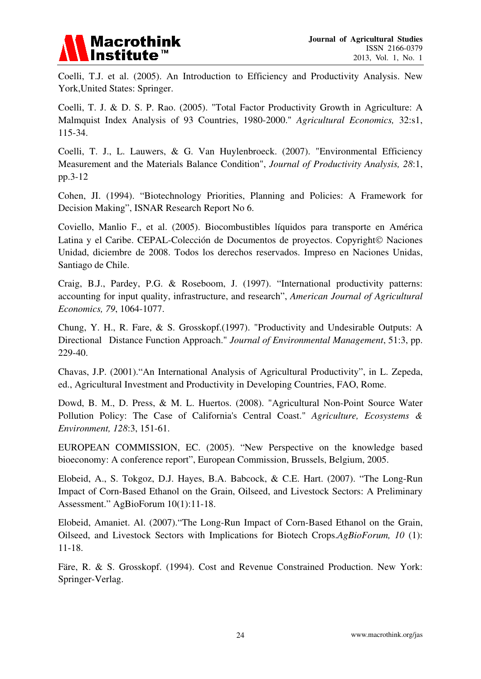

Coelli, T.J. et al. (2005). An Introduction to Efficiency and Productivity Analysis. New York,United States: Springer.

Coelli, T. J. & D. S. P. Rao. (2005). "Total Factor Productivity Growth in Agriculture: A Malmquist Index Analysis of 93 Countries, 1980-2000." *Agricultural Economics,* 32:s1, 115-34.

Coelli, T. J., L. Lauwers, & G. Van Huylenbroeck. (2007). "Environmental Efficiency Measurement and the Materials Balance Condition", *Journal of Productivity Analysis, 28*:1, pp.3-12

Cohen, JI. (1994). "Biotechnology Priorities, Planning and Policies: A Framework for Decision Making", ISNAR Research Report No 6.

Coviello, Manlio F., et al. (2005). Biocombustibles líquidos para transporte en América Latina y el Caribe. CEPAL-Colección de Documentos de proyectos. Copyright© Naciones Unidad, diciembre de 2008. Todos los derechos reservados. Impreso en Naciones Unidas, Santiago de Chile.

Craig, B.J., Pardey, P.G. & Roseboom, J. (1997). "International productivity patterns: accounting for input quality, infrastructure, and research", *American Journal of Agricultural Economics, 79*, 1064-1077.

Chung, Y. H., R. Fare, & S. Grosskopf.(1997). "Productivity and Undesirable Outputs: A Directional Distance Function Approach." *Journal of Environmental Management*, 51:3, pp. 229-40.

Chavas, J.P. (2001)."An International Analysis of Agricultural Productivity", in L. Zepeda, ed., Agricultural Investment and Productivity in Developing Countries, FAO, Rome.

Dowd, B. M., D. Press, & M. L. Huertos. (2008). "Agricultural Non-Point Source Water Pollution Policy: The Case of California's Central Coast." *Agriculture, Ecosystems & Environment, 128*:3, 151-61.

EUROPEAN COMMISSION, EC. (2005). "New Perspective on the knowledge based bioeconomy: A conference report", European Commission, Brussels, Belgium, 2005.

Elobeid, A., S. Tokgoz, D.J. Hayes, B.A. Babcock, & C.E. Hart. (2007). "The Long-Run Impact of Corn-Based Ethanol on the Grain, Oilseed, and Livestock Sectors: A Preliminary Assessment." AgBioForum 10(1):11-18.

Elobeid, Amaniet. Al. (2007)."The Long-Run Impact of Corn-Based Ethanol on the Grain, Oilseed, and Livestock Sectors with Implications for Biotech Crops.*AgBioForum, 10* (1): 11-18.

Färe, R. & S. Grosskopf. (1994). Cost and Revenue Constrained Production. New York: Springer-Verlag.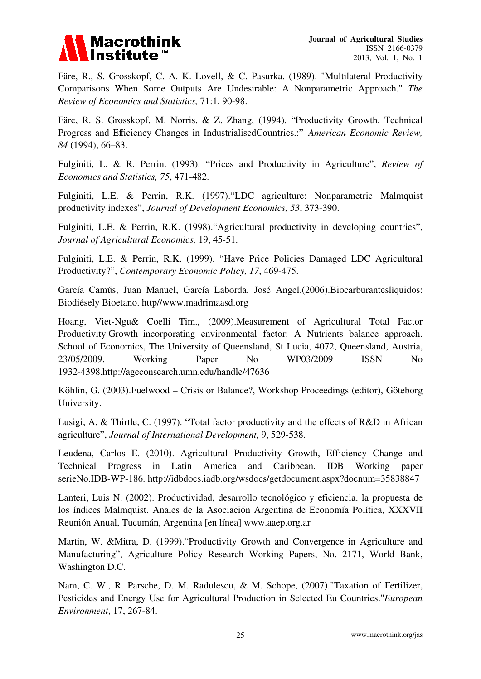

Färe, R., S. Grosskopf, C. A. K. Lovell, & C. Pasurka. (1989). "Multilateral Productivity Comparisons When Some Outputs Are Undesirable: A Nonparametric Approach." *The Review of Economics and Statistics,* 71:1, 90-98.

Färe, R. S. Grosskopf, M. Norris, & Z. Zhang, (1994). "Productivity Growth, Technical Progress and Efficiency Changes in IndustrialisedCountries.:" *American Economic Review, 84* (1994), 66–83.

Fulginiti, L. & R. Perrin. (1993). "Prices and Productivity in Agriculture", *Review of Economics and Statistics, 75*, 471-482.

Fulginiti, L.E. & Perrin, R.K. (1997)."LDC agriculture: Nonparametric Malmquist productivity indexes", *Journal of Development Economics, 53*, 373-390.

Fulginiti, L.E. & Perrin, R.K. (1998)."Agricultural productivity in developing countries", *Journal of Agricultural Economics,* 19, 45-51.

Fulginiti, L.E. & Perrin, R.K. (1999). "Have Price Policies Damaged LDC Agricultural Productivity?", *Contemporary Economic Policy, 17*, 469-475.

García Camús, Juan Manuel, García Laborda, José Angel.(2006).Biocarburanteslíquidos: Biodiésely Bioetano. http//www.madrimaasd.org

Hoang, Viet-Ngu& Coelli Tim., (2009).Measurement of Agricultural Total Factor Productivity Growth incorporating environmental factor: A Nutrients balance approach. School of Economics, The University of Queensland, St Lucia, 4072, Queensland, Austria, 23/05/2009. Working Paper No WP03/2009 ISSN No 1932-4398.http://ageconsearch.umn.edu/handle/47636

Köhlin, G. (2003).Fuelwood – Crisis or Balance?, Workshop Proceedings (editor), Göteborg University.

Lusigi, A. & Thirtle, C. (1997). "Total factor productivity and the effects of R&D in African agriculture", *Journal of International Development,* 9, 529-538.

Leudena, Carlos E. (2010). Agricultural Productivity Growth, Efficiency Change and Technical Progress in Latin America and Caribbean. IDB Working paper serieNo.IDB-WP-186. http://idbdocs.iadb.org/wsdocs/getdocument.aspx?docnum=35838847

Lanteri, Luis N. (2002). Productividad, desarrollo tecnológico y eficiencia. la propuesta de los índices Malmquist. Anales de la Asociación Argentina de Economía Política, XXXVII Reunión Anual, Tucumán, Argentina [en línea] www.aaep.org.ar

Martin, W. &Mitra, D. (1999)."Productivity Growth and Convergence in Agriculture and Manufacturing", Agriculture Policy Research Working Papers, No. 2171, World Bank, Washington D.C.

Nam, C. W., R. Parsche, D. M. Radulescu, & M. Schope, (2007)."Taxation of Fertilizer, Pesticides and Energy Use for Agricultural Production in Selected Eu Countries."*European Environment*, 17, 267-84.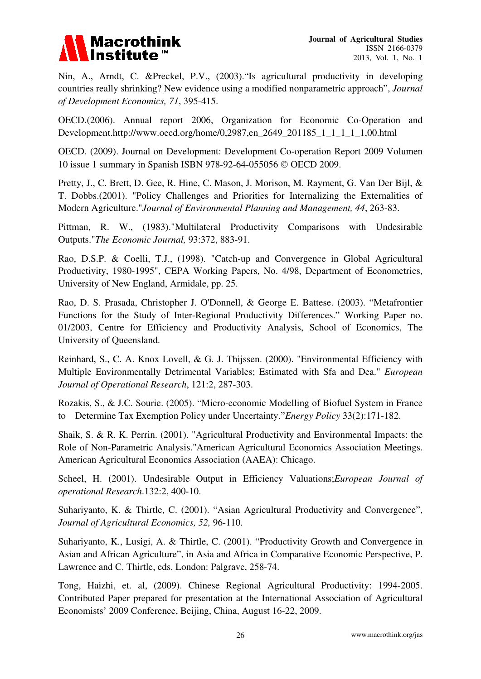

Nin, A., Arndt, C. &Preckel, P.V., (2003)."Is agricultural productivity in developing countries really shrinking? New evidence using a modified nonparametric approach", *Journal of Development Economics, 71*, 395-415.

OECD.(2006). Annual report 2006, Organization for Economic Co-Operation and Development.http://www.oecd.org/home/0,2987,en\_2649\_201185\_1\_1\_1\_1\_1,00.html

OECD. (2009). Journal on Development: Development Co-operation Report 2009 Volumen 10 issue 1 summary in Spanish ISBN 978-92-64-055056 © OECD 2009.

Pretty, J., C. Brett, D. Gee, R. Hine, C. Mason, J. Morison, M. Rayment, G. Van Der Bijl, & T. Dobbs.(2001). "Policy Challenges and Priorities for Internalizing the Externalities of Modern Agriculture."*Journal of Environmental Planning and Management, 44*, 263-83.

Pittman, R. W., (1983)."Multilateral Productivity Comparisons with Undesirable Outputs."*The Economic Journal,* 93:372, 883-91.

Rao, D.S.P. & Coelli, T.J., (1998). "Catch-up and Convergence in Global Agricultural Productivity, 1980-1995", CEPA Working Papers, No. 4/98, Department of Econometrics, University of New England, Armidale, pp. 25.

Rao, D. S. Prasada, Christopher J. O'Donnell, & George E. Battese. (2003). "Metafrontier Functions for the Study of Inter-Regional Productivity Differences." Working Paper no. 01/2003, Centre for Efficiency and Productivity Analysis, School of Economics, The University of Queensland.

Reinhard, S., C. A. Knox Lovell, & G. J. Thijssen. (2000). "Environmental Efficiency with Multiple Environmentally Detrimental Variables; Estimated with Sfa and Dea." *European Journal of Operational Research*, 121:2, 287-303.

Rozakis, S., & J.C. Sourie. (2005). "Micro-economic Modelling of Biofuel System in France to Determine Tax Exemption Policy under Uncertainty."*Energy Policy* 33(2):171-182.

Shaik, S. & R. K. Perrin. (2001). "Agricultural Productivity and Environmental Impacts: the Role of Non-Parametric Analysis."American Agricultural Economics Association Meetings. American Agricultural Economics Association (AAEA): Chicago.

Scheel, H. (2001). Undesirable Output in Efficiency Valuations;*European Journal of operational Research*.132:2, 400-10.

Suhariyanto, K. & Thirtle, C. (2001). "Asian Agricultural Productivity and Convergence", *Journal of Agricultural Economics, 52,* 96-110.

Suhariyanto, K., Lusigi, A. & Thirtle, C. (2001). "Productivity Growth and Convergence in Asian and African Agriculture", in Asia and Africa in Comparative Economic Perspective, P. Lawrence and C. Thirtle, eds. London: Palgrave, 258-74.

Tong, Haizhi, et. al, (2009). Chinese Regional Agricultural Productivity: 1994-2005. Contributed Paper prepared for presentation at the International Association of Agricultural Economists' 2009 Conference, Beijing, China, August 16-22, 2009.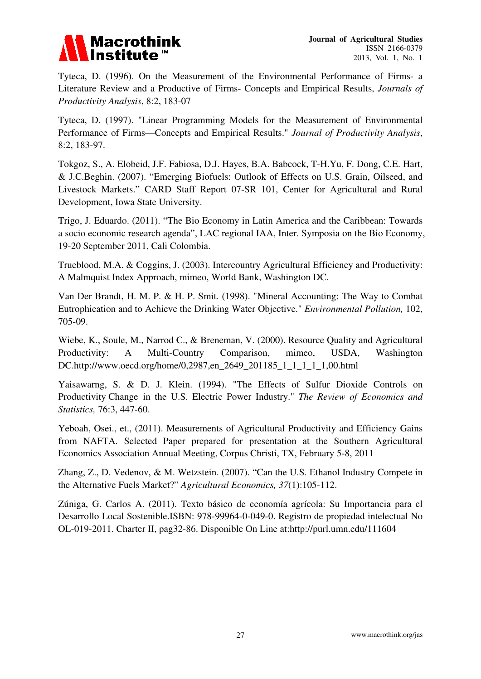

Tyteca, D. (1996). On the Measurement of the Environmental Performance of Firms- a Literature Review and a Productive of Firms- Concepts and Empirical Results, *Journals of Productivity Analysis*, 8:2, 183-07

Tyteca, D. (1997). "Linear Programming Models for the Measurement of Environmental Performance of Firms—Concepts and Empirical Results." *Journal of Productivity Analysis*, 8:2, 183-97.

Tokgoz, S., A. Elobeid, J.F. Fabiosa, D.J. Hayes, B.A. Babcock, T-H.Yu, F. Dong, C.E. Hart, & J.C.Beghin. (2007). "Emerging Biofuels: Outlook of Effects on U.S. Grain, Oilseed, and Livestock Markets." CARD Staff Report 07-SR 101, Center for Agricultural and Rural Development, Iowa State University.

Trigo, J. Eduardo. (2011). "The Bio Economy in Latin America and the Caribbean: Towards a socio economic research agenda", LAC regional IAA, Inter. Symposia on the Bio Economy, 19-20 September 2011, Cali Colombia.

Trueblood, M.A. & Coggins, J. (2003). Intercountry Agricultural Efficiency and Productivity: A Malmquist Index Approach, mimeo, World Bank, Washington DC.

Van Der Brandt, H. M. P. & H. P. Smit. (1998). "Mineral Accounting: The Way to Combat Eutrophication and to Achieve the Drinking Water Objective." *Environmental Pollution,* 102, 705-09.

Wiebe, K., Soule, M., Narrod C., & Breneman, V. (2000). Resource Quality and Agricultural Productivity: A Multi-Country Comparison, mimeo, USDA, Washington DC.http://www.oecd.org/home/0,2987,en\_2649\_201185\_1\_1\_1\_1\_1,00.html

Yaisawarng, S. & D. J. Klein. (1994). "The Effects of Sulfur Dioxide Controls on Productivity Change in the U.S. Electric Power Industry." *The Review of Economics and Statistics,* 76:3, 447-60.

Yeboah, Osei., et., (2011). Measurements of Agricultural Productivity and Efficiency Gains from NAFTA. Selected Paper prepared for presentation at the Southern Agricultural Economics Association Annual Meeting, Corpus Christi, TX, February 5-8, 2011

Zhang, Z., D. Vedenov, & M. Wetzstein. (2007). "Can the U.S. Ethanol Industry Compete in the Alternative Fuels Market?" *Agricultural Economics, 37*(1):105-112.

Zúniga, G. Carlos A. (2011). Texto básico de economía agrícola: Su Importancia para el Desarrollo Local Sostenible.ISBN: 978-99964-0-049-0. Registro de propiedad intelectual No OL-019-2011. Charter II, pag32-86. Disponible On Line at:http://purl.umn.edu/111604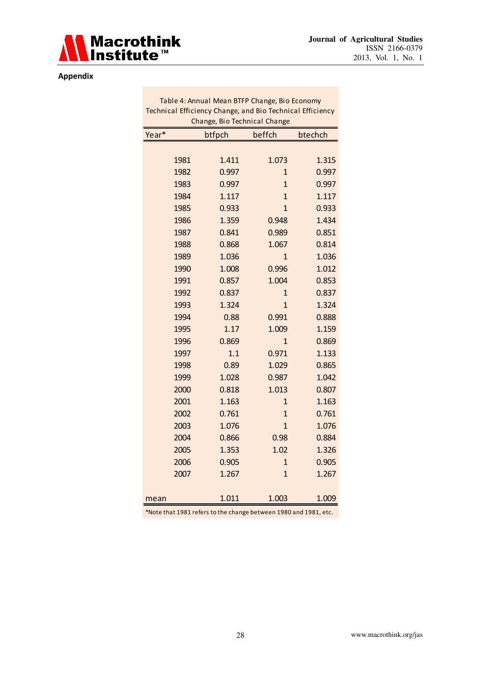

#### **Appendix**

| Table 4: Annual Mean BTFP Change, Bio Economy<br>Technical Efficiency Change, and Bio Technical Efficiency |      |        |                |         |  |
|------------------------------------------------------------------------------------------------------------|------|--------|----------------|---------|--|
| Change, Bio Technical Change                                                                               |      |        |                |         |  |
| Year*                                                                                                      |      | btfpch | beffch         | btechch |  |
|                                                                                                            |      |        |                |         |  |
|                                                                                                            | 1981 | 1.411  | 1.073          | 1.315   |  |
|                                                                                                            | 1982 | 0.997  | $\mathbf{1}$   | 0.997   |  |
|                                                                                                            | 1983 | 0.997  | $\overline{1}$ | 0.997   |  |
|                                                                                                            | 1984 | 1.117  | 1              | 1.117   |  |
|                                                                                                            | 1985 | 0.933  | $\mathbf{1}$   | 0.933   |  |
|                                                                                                            | 1986 | 1.359  | 0.948          | 1.434   |  |
|                                                                                                            | 1987 | 0.841  | 0.989          | 0.851   |  |
|                                                                                                            | 1988 | 0.868  | 1.067          | 0.814   |  |
|                                                                                                            | 1989 | 1.036  | $\overline{1}$ | 1.036   |  |
|                                                                                                            | 1990 | 1.008  | 0.996          | 1.012   |  |
|                                                                                                            | 1991 | 0.857  | 1.004          | 0.853   |  |
|                                                                                                            | 1992 | 0.837  | 1              | 0.837   |  |
|                                                                                                            | 1993 | 1.324  | $\overline{1}$ | 1.324   |  |
|                                                                                                            | 1994 | 0.88   | 0.991          | 0.888   |  |
|                                                                                                            | 1995 | 1.17   | 1.009          | 1.159   |  |
|                                                                                                            | 1996 | 0.869  | $\overline{1}$ | 0.869   |  |
|                                                                                                            | 1997 | 1.1    | 0.971          | 1.133   |  |
|                                                                                                            | 1998 | 0.89   | 1.029          | 0.865   |  |
|                                                                                                            | 1999 | 1.028  | 0.987          | 1.042   |  |
|                                                                                                            | 2000 | 0.818  | 1.013          | 0.807   |  |
|                                                                                                            | 2001 | 1.163  | $\mathbf{1}$   | 1.163   |  |
|                                                                                                            | 2002 | 0.761  | $\overline{1}$ | 0.761   |  |
|                                                                                                            | 2003 | 1.076  | $\overline{1}$ | 1.076   |  |
|                                                                                                            | 2004 | 0.866  | 0.98           | 0.884   |  |
|                                                                                                            | 2005 | 1.353  | 1.02           | 1.326   |  |
|                                                                                                            | 2006 | 0.905  | $\overline{1}$ | 0.905   |  |
|                                                                                                            | 2007 | 1.267  | $\overline{1}$ | 1.267   |  |
|                                                                                                            |      |        |                |         |  |
| mean                                                                                                       |      | 1.011  | 1.003          | 1.009   |  |

\*Note that 1981 refers to the change between 1980 and 1981, etc.